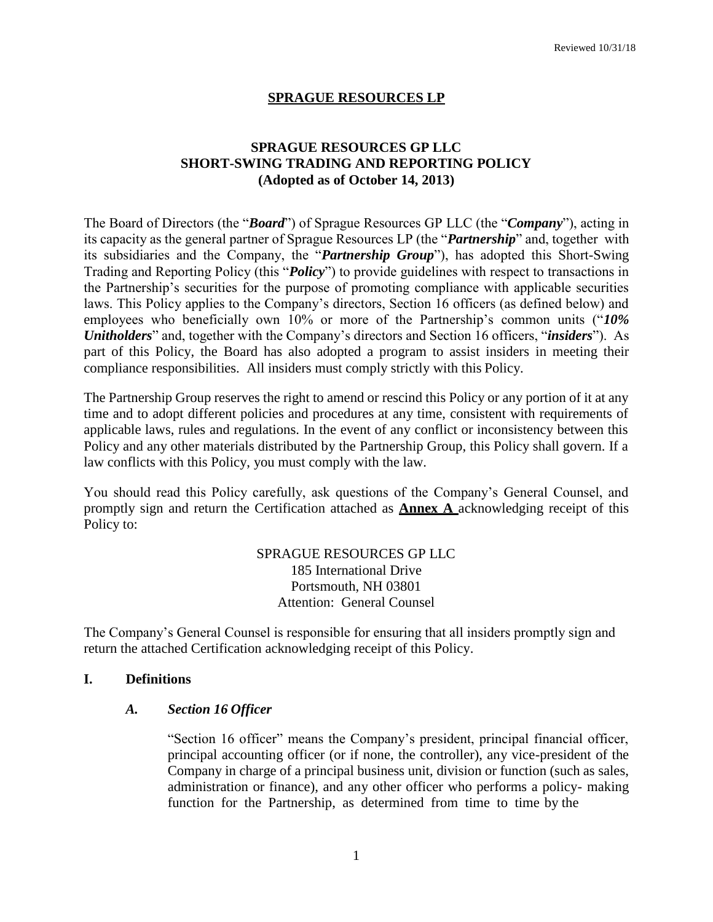## **SPRAGUE RESOURCES LP**

# **SPRAGUE RESOURCES GP LLC SHORT-SWING TRADING AND REPORTING POLICY (Adopted as of October 14, 2013)**

The Board of Directors (the "*Board*") of Sprague Resources GP LLC (the "*Company*"), acting in its capacity as the general partner of Sprague Resources LP (the "*Partnership*" and, together with its subsidiaries and the Company, the "*Partnership Group*"), has adopted this Short-Swing Trading and Reporting Policy (this "*Policy*") to provide guidelines with respect to transactions in the Partnership's securities for the purpose of promoting compliance with applicable securities laws. This Policy applies to the Company's directors, Section 16 officers (as defined below) and employees who beneficially own 10% or more of the Partnership's common units ("*10% Unitholders*" and, together with the Company's directors and Section 16 officers, "*insiders*"). As part of this Policy, the Board has also adopted a program to assist insiders in meeting their compliance responsibilities. All insiders must comply strictly with this Policy.

The Partnership Group reserves the right to amend or rescind this Policy or any portion of it at any time and to adopt different policies and procedures at any time, consistent with requirements of applicable laws, rules and regulations. In the event of any conflict or inconsistency between this Policy and any other materials distributed by the Partnership Group, this Policy shall govern. If a law conflicts with this Policy, you must comply with the law.

You should read this Policy carefully, ask questions of the Company's General Counsel, and promptly sign and return the Certification attached as **Annex A** acknowledging receipt of this Policy to:

> SPRAGUE RESOURCES GP LLC 185 International Drive Portsmouth, NH 03801 Attention: General Counsel

The Company's General Counsel is responsible for ensuring that all insiders promptly sign and return the attached Certification acknowledging receipt of this Policy.

#### **I. Definitions**

#### *A. Section 16 Officer*

"Section 16 officer" means the Company's president, principal financial officer, principal accounting officer (or if none, the controller), any vice-president of the Company in charge of a principal business unit, division or function (such as sales, administration or finance), and any other officer who performs a policy- making function for the Partnership, as determined from time to time by the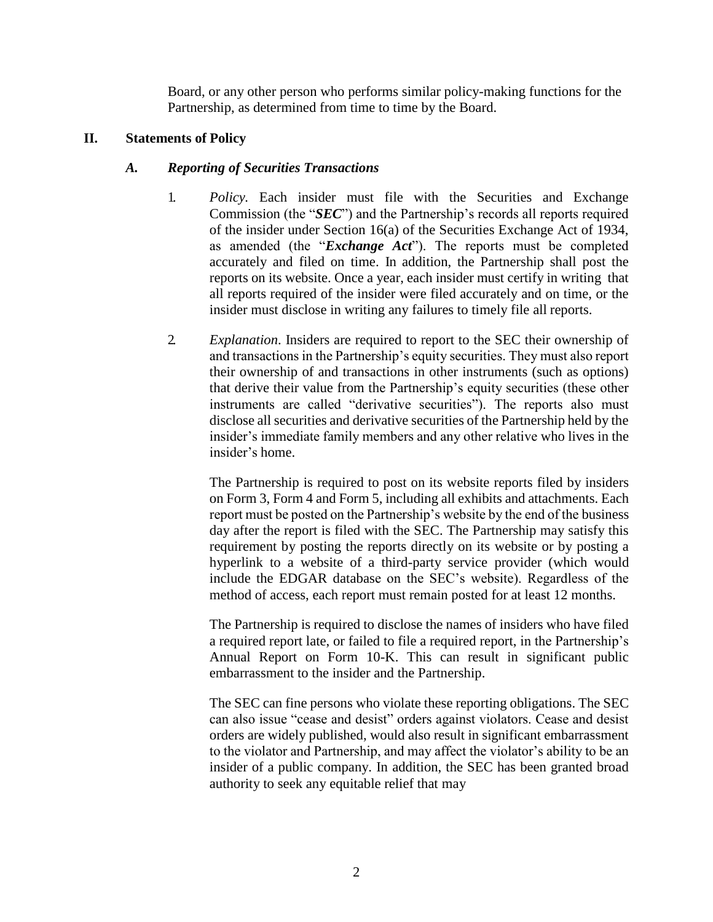Board, or any other person who performs similar policy-making functions for the Partnership, as determined from time to time by the Board.

## **II. Statements of Policy**

## *A. Reporting of Securities Transactions*

- 1. *Policy.* Each insider must file with the Securities and Exchange Commission (the "*SEC*") and the Partnership's records all reports required of the insider under Section 16(a) of the Securities Exchange Act of 1934, as amended (the "*Exchange Act*"). The reports must be completed accurately and filed on time. In addition, the Partnership shall post the reports on its website. Once a year, each insider must certify in writing that all reports required of the insider were filed accurately and on time, or the insider must disclose in writing any failures to timely file all reports.
- 2. *Explanation*. Insiders are required to report to the SEC their ownership of and transactions in the Partnership's equity securities. They must also report their ownership of and transactions in other instruments (such as options) that derive their value from the Partnership's equity securities (these other instruments are called "derivative securities"). The reports also must disclose all securities and derivative securities of the Partnership held by the insider's immediate family members and any other relative who lives in the insider's home.

The Partnership is required to post on its website reports filed by insiders on Form 3, Form 4 and Form 5, including all exhibits and attachments. Each report must be posted on the Partnership's website by the end of the business day after the report is filed with the SEC. The Partnership may satisfy this requirement by posting the reports directly on its website or by posting a hyperlink to a website of a third-party service provider (which would include the EDGAR database on the SEC's website). Regardless of the method of access, each report must remain posted for at least 12 months.

The Partnership is required to disclose the names of insiders who have filed a required report late, or failed to file a required report, in the Partnership's Annual Report on Form 10-K. This can result in significant public embarrassment to the insider and the Partnership.

The SEC can fine persons who violate these reporting obligations. The SEC can also issue "cease and desist" orders against violators. Cease and desist orders are widely published, would also result in significant embarrassment to the violator and Partnership, and may affect the violator's ability to be an insider of a public company. In addition, the SEC has been granted broad authority to seek any equitable relief that may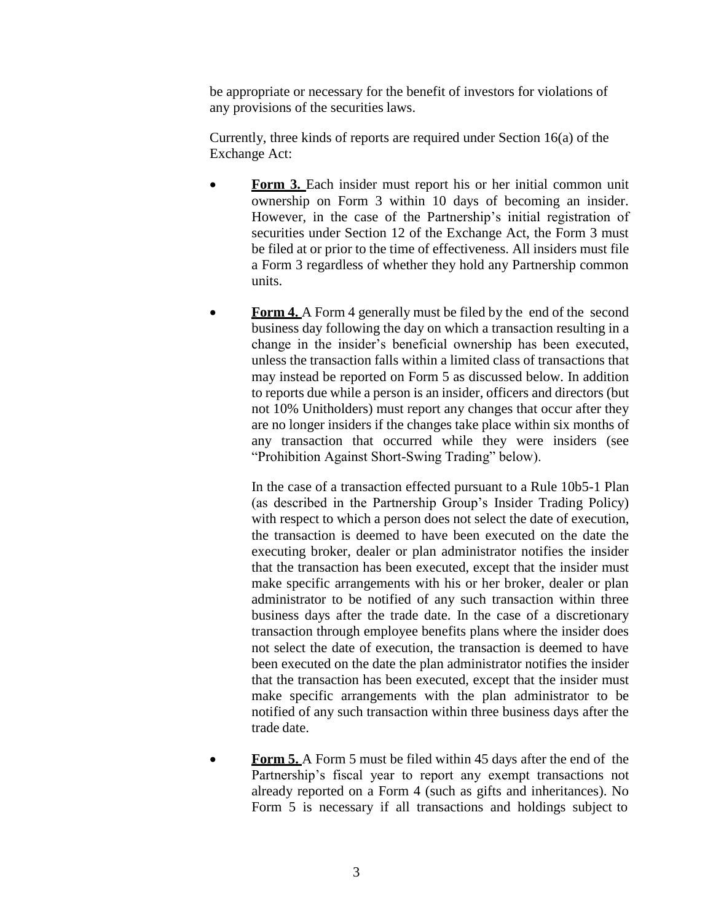be appropriate or necessary for the benefit of investors for violations of any provisions of the securities laws.

Currently, three kinds of reports are required under Section 16(a) of the Exchange Act:

- **Form 3.** Each insider must report his or her initial common unit ownership on Form 3 within 10 days of becoming an insider. However, in the case of the Partnership's initial registration of securities under Section 12 of the Exchange Act, the Form 3 must be filed at or prior to the time of effectiveness. All insiders must file a Form 3 regardless of whether they hold any Partnership common units.
- **Form 4.** A Form 4 generally must be filed by the end of the second business day following the day on which a transaction resulting in a change in the insider's beneficial ownership has been executed, unless the transaction falls within a limited class of transactions that may instead be reported on Form 5 as discussed below. In addition to reports due while a person is an insider, officers and directors (but not 10% Unitholders) must report any changes that occur after they are no longer insiders if the changes take place within six months of any transaction that occurred while they were insiders (see "Prohibition Against Short-Swing Trading" below).

In the case of a transaction effected pursuant to a Rule 10b5-1 Plan (as described in the Partnership Group's Insider Trading Policy) with respect to which a person does not select the date of execution, the transaction is deemed to have been executed on the date the executing broker, dealer or plan administrator notifies the insider that the transaction has been executed, except that the insider must make specific arrangements with his or her broker, dealer or plan administrator to be notified of any such transaction within three business days after the trade date. In the case of a discretionary transaction through employee benefits plans where the insider does not select the date of execution, the transaction is deemed to have been executed on the date the plan administrator notifies the insider that the transaction has been executed, except that the insider must make specific arrangements with the plan administrator to be notified of any such transaction within three business days after the trade date.

 **Form 5.** A Form 5 must be filed within 45 days after the end of the Partnership's fiscal year to report any exempt transactions not already reported on a Form 4 (such as gifts and inheritances). No Form 5 is necessary if all transactions and holdings subject to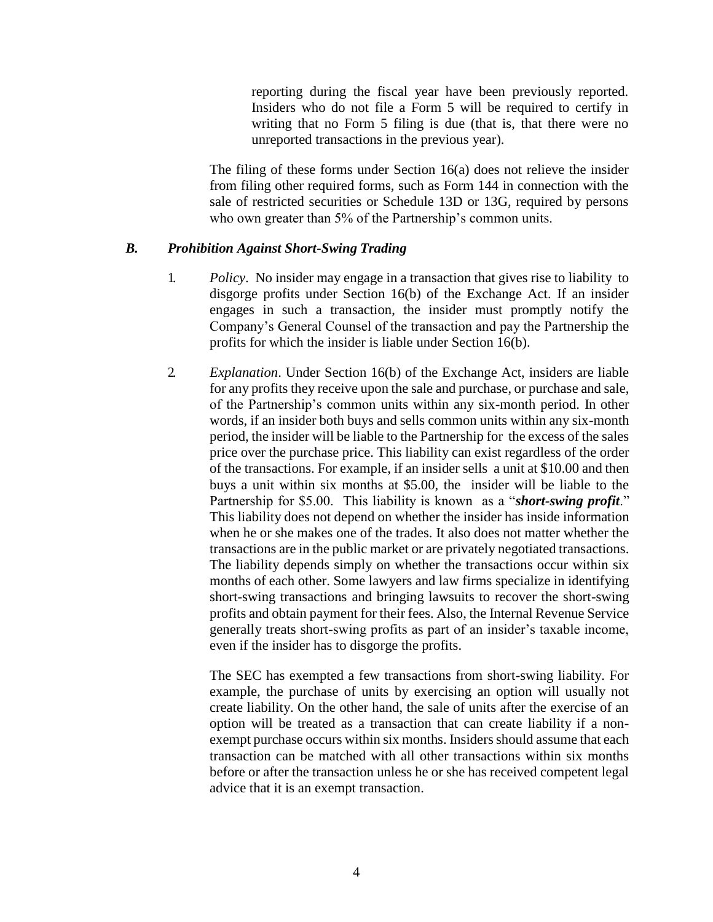reporting during the fiscal year have been previously reported. Insiders who do not file a Form 5 will be required to certify in writing that no Form 5 filing is due (that is, that there were no unreported transactions in the previous year).

The filing of these forms under Section 16(a) does not relieve the insider from filing other required forms, such as Form 144 in connection with the sale of restricted securities or Schedule 13D or 13G, required by persons who own greater than 5% of the Partnership's common units.

#### *B. Prohibition Against Short-Swing Trading*

- 1. *Policy*. No insider may engage in a transaction that gives rise to liability to disgorge profits under Section 16(b) of the Exchange Act. If an insider engages in such a transaction, the insider must promptly notify the Company's General Counsel of the transaction and pay the Partnership the profits for which the insider is liable under Section 16(b).
- 2. *Explanation*. Under Section 16(b) of the Exchange Act, insiders are liable for any profits they receive upon the sale and purchase, or purchase and sale, of the Partnership's common units within any six-month period. In other words, if an insider both buys and sells common units within any six-month period, the insider will be liable to the Partnership for the excess of the sales price over the purchase price. This liability can exist regardless of the order of the transactions. For example, if an insider sells a unit at \$10.00 and then buys a unit within six months at \$5.00, the insider will be liable to the Partnership for \$5.00. This liability is known as a "*short-swing profit*." This liability does not depend on whether the insider has inside information when he or she makes one of the trades. It also does not matter whether the transactions are in the public market or are privately negotiated transactions. The liability depends simply on whether the transactions occur within six months of each other. Some lawyers and law firms specialize in identifying short-swing transactions and bringing lawsuits to recover the short-swing profits and obtain payment for their fees. Also, the Internal Revenue Service generally treats short-swing profits as part of an insider's taxable income, even if the insider has to disgorge the profits.

The SEC has exempted a few transactions from short-swing liability. For example, the purchase of units by exercising an option will usually not create liability. On the other hand, the sale of units after the exercise of an option will be treated as a transaction that can create liability if a nonexempt purchase occurs within six months. Insiders should assume that each transaction can be matched with all other transactions within six months before or after the transaction unless he or she has received competent legal advice that it is an exempt transaction.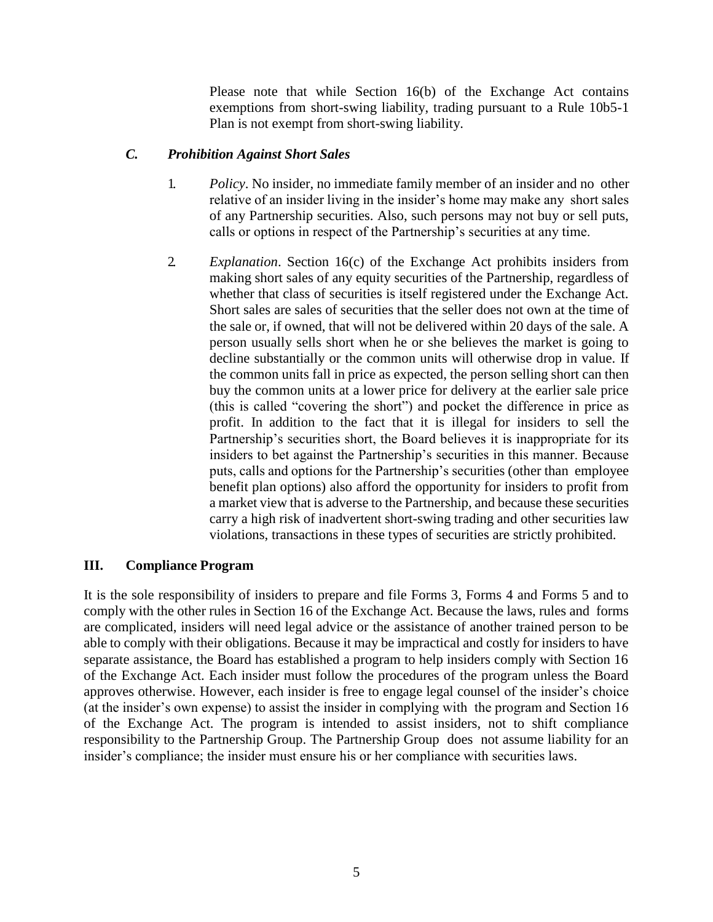Please note that while Section 16(b) of the Exchange Act contains exemptions from short-swing liability, trading pursuant to a Rule 10b5-1 Plan is not exempt from short-swing liability.

## *C. Prohibition Against Short Sales*

- 1. *Policy*. No insider, no immediate family member of an insider and no other relative of an insider living in the insider's home may make any short sales of any Partnership securities. Also, such persons may not buy or sell puts, calls or options in respect of the Partnership's securities at any time.
- 2. *Explanation*. Section 16(c) of the Exchange Act prohibits insiders from making short sales of any equity securities of the Partnership, regardless of whether that class of securities is itself registered under the Exchange Act. Short sales are sales of securities that the seller does not own at the time of the sale or, if owned, that will not be delivered within 20 days of the sale. A person usually sells short when he or she believes the market is going to decline substantially or the common units will otherwise drop in value. If the common units fall in price as expected, the person selling short can then buy the common units at a lower price for delivery at the earlier sale price (this is called "covering the short") and pocket the difference in price as profit. In addition to the fact that it is illegal for insiders to sell the Partnership's securities short, the Board believes it is inappropriate for its insiders to bet against the Partnership's securities in this manner. Because puts, calls and options for the Partnership's securities (other than employee benefit plan options) also afford the opportunity for insiders to profit from a market view that is adverse to the Partnership, and because these securities carry a high risk of inadvertent short-swing trading and other securities law violations, transactions in these types of securities are strictly prohibited.

#### **III. Compliance Program**

It is the sole responsibility of insiders to prepare and file Forms 3, Forms 4 and Forms 5 and to comply with the other rules in Section 16 of the Exchange Act. Because the laws, rules and forms are complicated, insiders will need legal advice or the assistance of another trained person to be able to comply with their obligations. Because it may be impractical and costly for insiders to have separate assistance, the Board has established a program to help insiders comply with Section 16 of the Exchange Act. Each insider must follow the procedures of the program unless the Board approves otherwise. However, each insider is free to engage legal counsel of the insider's choice (at the insider's own expense) to assist the insider in complying with the program and Section 16 of the Exchange Act. The program is intended to assist insiders, not to shift compliance responsibility to the Partnership Group. The Partnership Group does not assume liability for an insider's compliance; the insider must ensure his or her compliance with securities laws.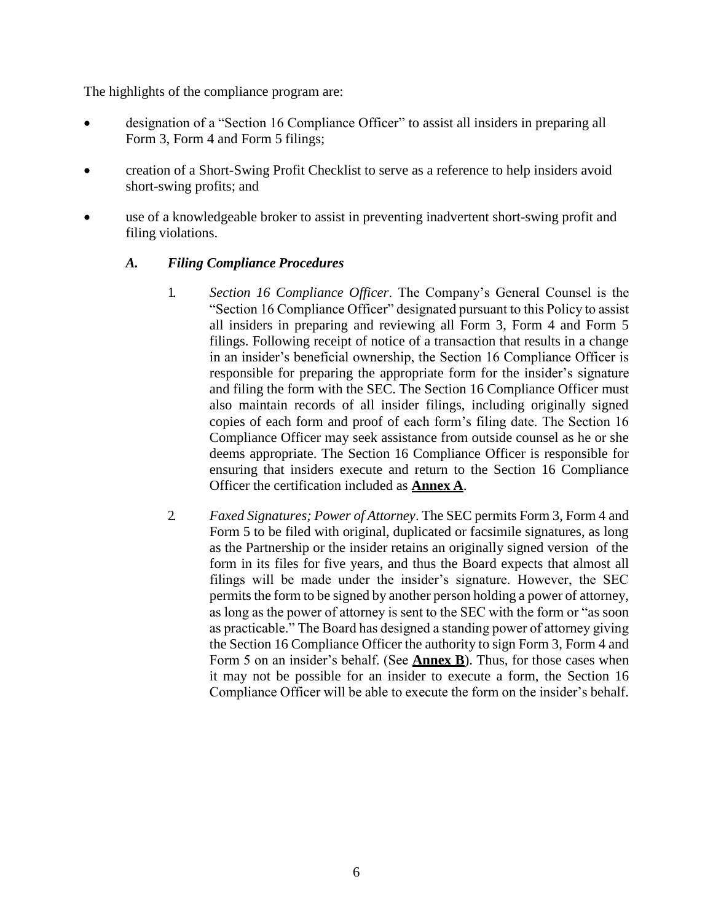The highlights of the compliance program are:

- designation of a "Section 16 Compliance Officer" to assist all insiders in preparing all Form 3, Form 4 and Form 5 filings;
- creation of a Short-Swing Profit Checklist to serve as a reference to help insiders avoid short-swing profits; and
- use of a knowledgeable broker to assist in preventing inadvertent short-swing profit and filing violations.

# *A. Filing Compliance Procedures*

- 1. *Section 16 Compliance Officer*. The Company's General Counsel is the "Section 16 Compliance Officer" designated pursuant to this Policy to assist all insiders in preparing and reviewing all Form 3, Form 4 and Form 5 filings. Following receipt of notice of a transaction that results in a change in an insider's beneficial ownership, the Section 16 Compliance Officer is responsible for preparing the appropriate form for the insider's signature and filing the form with the SEC. The Section 16 Compliance Officer must also maintain records of all insider filings, including originally signed copies of each form and proof of each form's filing date. The Section 16 Compliance Officer may seek assistance from outside counsel as he or she deems appropriate. The Section 16 Compliance Officer is responsible for ensuring that insiders execute and return to the Section 16 Compliance Officer the certification included as **Annex A**.
- 2. *Faxed Signatures; Power of Attorney*. The SEC permits Form 3, Form 4 and Form 5 to be filed with original, duplicated or facsimile signatures, as long as the Partnership or the insider retains an originally signed version of the form in its files for five years, and thus the Board expects that almost all filings will be made under the insider's signature. However, the SEC permits the form to be signed by another person holding a power of attorney, as long as the power of attorney is sent to the SEC with the form or "as soon as practicable." The Board has designed a standing power of attorney giving the Section 16 Compliance Officer the authority to sign Form 3, Form 4 and Form 5 on an insider's behalf. (See **Annex B**). Thus, for those cases when it may not be possible for an insider to execute a form, the Section 16 Compliance Officer will be able to execute the form on the insider's behalf.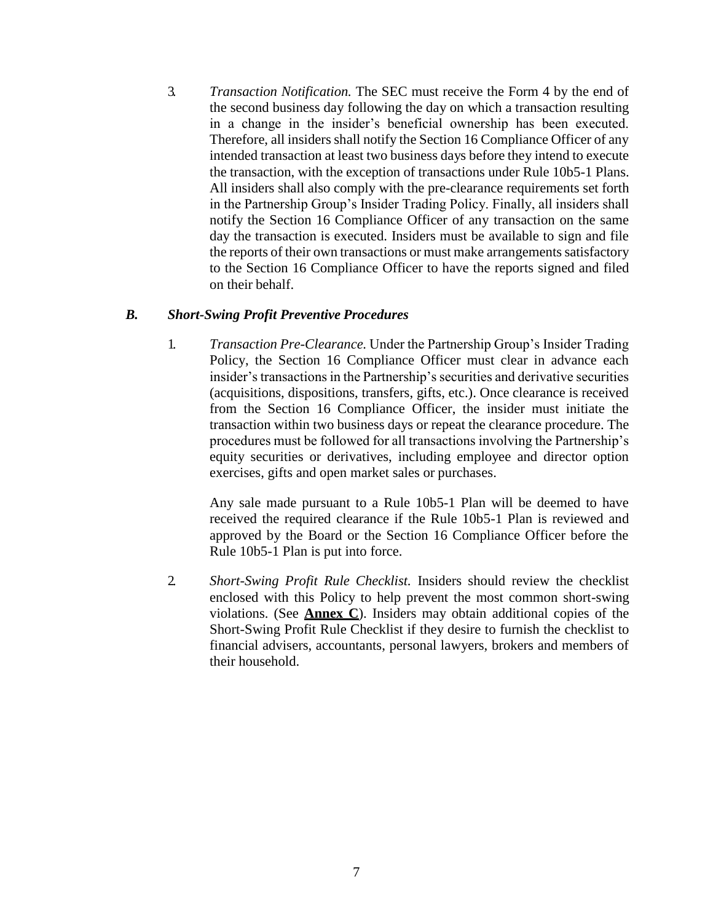3. *Transaction Notification.* The SEC must receive the Form 4 by the end of the second business day following the day on which a transaction resulting in a change in the insider's beneficial ownership has been executed. Therefore, all insiders shall notify the Section 16 Compliance Officer of any intended transaction at least two business days before they intend to execute the transaction, with the exception of transactions under Rule 10b5-1 Plans. All insiders shall also comply with the pre-clearance requirements set forth in the Partnership Group's Insider Trading Policy. Finally, all insiders shall notify the Section 16 Compliance Officer of any transaction on the same day the transaction is executed. Insiders must be available to sign and file the reports of their own transactions or must make arrangements satisfactory to the Section 16 Compliance Officer to have the reports signed and filed on their behalf.

#### *B. Short-Swing Profit Preventive Procedures*

1. *Transaction Pre-Clearance.* Under the Partnership Group's Insider Trading Policy, the Section 16 Compliance Officer must clear in advance each insider's transactions in the Partnership's securities and derivative securities (acquisitions, dispositions, transfers, gifts, etc.). Once clearance is received from the Section 16 Compliance Officer, the insider must initiate the transaction within two business days or repeat the clearance procedure. The procedures must be followed for all transactions involving the Partnership's equity securities or derivatives, including employee and director option exercises, gifts and open market sales or purchases.

Any sale made pursuant to a Rule 10b5-1 Plan will be deemed to have received the required clearance if the Rule 10b5-1 Plan is reviewed and approved by the Board or the Section 16 Compliance Officer before the Rule 10b5-1 Plan is put into force.

2. *Short-Swing Profit Rule Checklist.* Insiders should review the checklist enclosed with this Policy to help prevent the most common short-swing violations. (See **Annex C**). Insiders may obtain additional copies of the Short-Swing Profit Rule Checklist if they desire to furnish the checklist to financial advisers, accountants, personal lawyers, brokers and members of their household.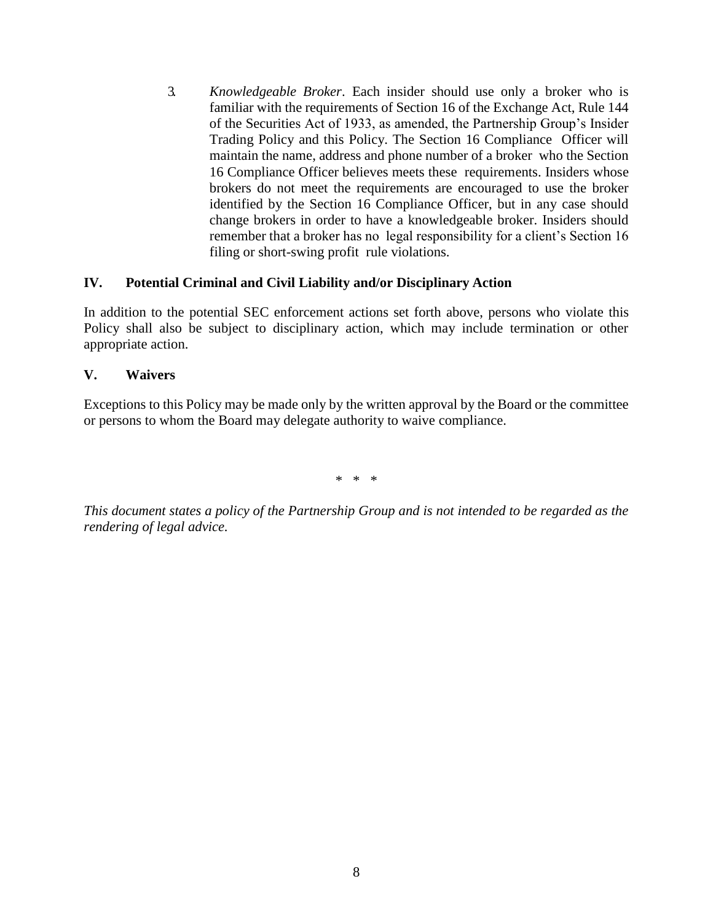3. *Knowledgeable Broker*. Each insider should use only a broker who is familiar with the requirements of Section 16 of the Exchange Act, Rule 144 of the Securities Act of 1933, as amended, the Partnership Group's Insider Trading Policy and this Policy. The Section 16 Compliance Officer will maintain the name, address and phone number of a broker who the Section 16 Compliance Officer believes meets these requirements. Insiders whose brokers do not meet the requirements are encouraged to use the broker identified by the Section 16 Compliance Officer, but in any case should change brokers in order to have a knowledgeable broker. Insiders should remember that a broker has no legal responsibility for a client's Section 16 filing or short-swing profit rule violations.

## **IV. Potential Criminal and Civil Liability and/or Disciplinary Action**

In addition to the potential SEC enforcement actions set forth above, persons who violate this Policy shall also be subject to disciplinary action, which may include termination or other appropriate action.

## **V. Waivers**

Exceptions to this Policy may be made only by the written approval by the Board or the committee or persons to whom the Board may delegate authority to waive compliance.

\* \* \*

*This document states a policy of the Partnership Group and is not intended to be regarded as the rendering of legal advice.*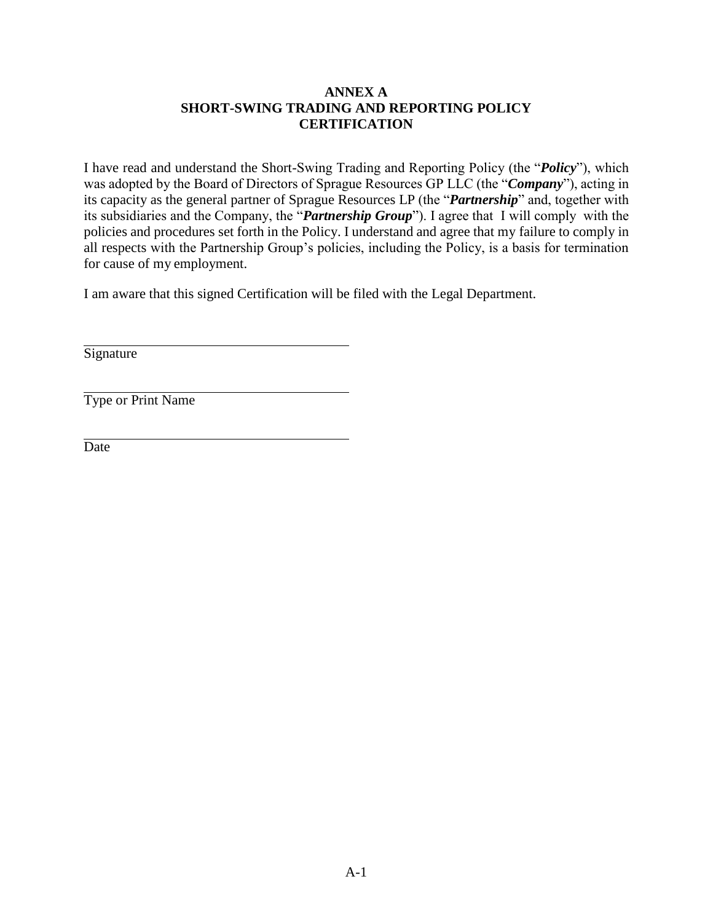## **ANNEX A SHORT-SWING TRADING AND REPORTING POLICY CERTIFICATION**

I have read and understand the Short-Swing Trading and Reporting Policy (the "*Policy*"), which was adopted by the Board of Directors of Sprague Resources GP LLC (the "*Company*"), acting in its capacity as the general partner of Sprague Resources LP (the "*Partnership*" and, together with its subsidiaries and the Company, the "*Partnership Group*"). I agree that I will comply with the policies and procedures set forth in the Policy. I understand and agree that my failure to comply in all respects with the Partnership Group's policies, including the Policy, is a basis for termination for cause of my employment.

I am aware that this signed Certification will be filed with the Legal Department.

**Signature** 

Type or Print Name

**Date**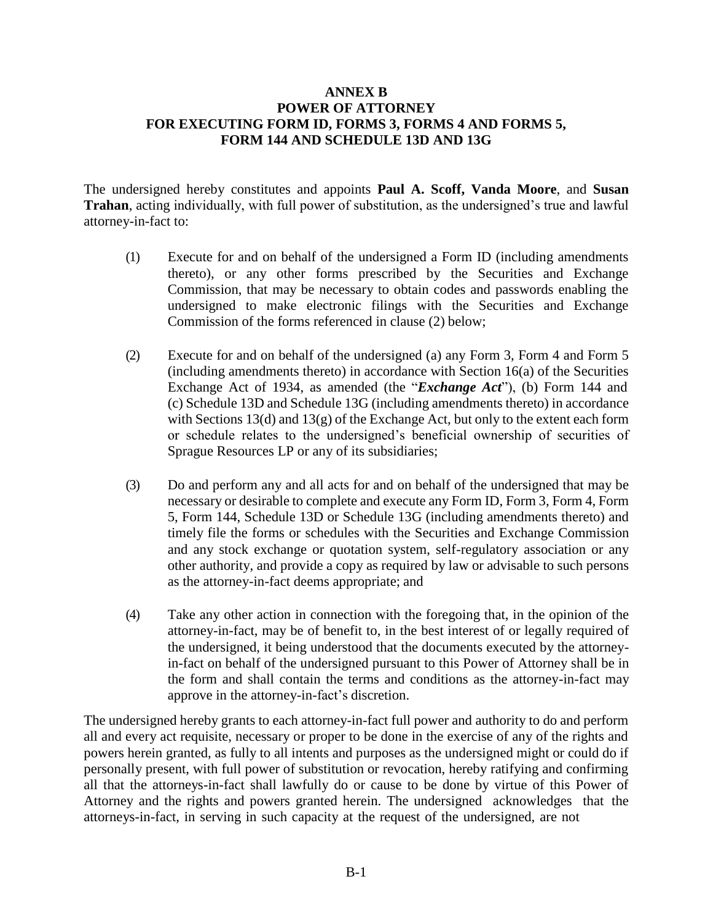#### **ANNEX B POWER OF ATTORNEY FOR EXECUTING FORM ID, FORMS 3, FORMS 4 AND FORMS 5, FORM 144 AND SCHEDULE 13D AND 13G**

The undersigned hereby constitutes and appoints **Paul A. Scoff, Vanda Moore**, and **Susan Trahan**, acting individually, with full power of substitution, as the undersigned's true and lawful attorney-in-fact to:

- (1) Execute for and on behalf of the undersigned a Form ID (including amendments thereto), or any other forms prescribed by the Securities and Exchange Commission, that may be necessary to obtain codes and passwords enabling the undersigned to make electronic filings with the Securities and Exchange Commission of the forms referenced in clause (2) below;
- (2) Execute for and on behalf of the undersigned (a) any Form 3, Form 4 and Form 5 (including amendments thereto) in accordance with Section 16(a) of the Securities Exchange Act of 1934, as amended (the "*Exchange Act*"), (b) Form 144 and (c) Schedule 13D and Schedule 13G (including amendments thereto) in accordance with Sections 13(d) and 13(g) of the Exchange Act, but only to the extent each form or schedule relates to the undersigned's beneficial ownership of securities of Sprague Resources LP or any of its subsidiaries;
- (3) Do and perform any and all acts for and on behalf of the undersigned that may be necessary or desirable to complete and execute any Form ID, Form 3, Form 4, Form 5, Form 144, Schedule 13D or Schedule 13G (including amendments thereto) and timely file the forms or schedules with the Securities and Exchange Commission and any stock exchange or quotation system, self-regulatory association or any other authority, and provide a copy as required by law or advisable to such persons as the attorney-in-fact deems appropriate; and
- (4) Take any other action in connection with the foregoing that, in the opinion of the attorney-in-fact, may be of benefit to, in the best interest of or legally required of the undersigned, it being understood that the documents executed by the attorneyin-fact on behalf of the undersigned pursuant to this Power of Attorney shall be in the form and shall contain the terms and conditions as the attorney-in-fact may approve in the attorney-in-fact's discretion.

The undersigned hereby grants to each attorney-in-fact full power and authority to do and perform all and every act requisite, necessary or proper to be done in the exercise of any of the rights and powers herein granted, as fully to all intents and purposes as the undersigned might or could do if personally present, with full power of substitution or revocation, hereby ratifying and confirming all that the attorneys-in-fact shall lawfully do or cause to be done by virtue of this Power of Attorney and the rights and powers granted herein. The undersigned acknowledges that the attorneys-in-fact, in serving in such capacity at the request of the undersigned, are not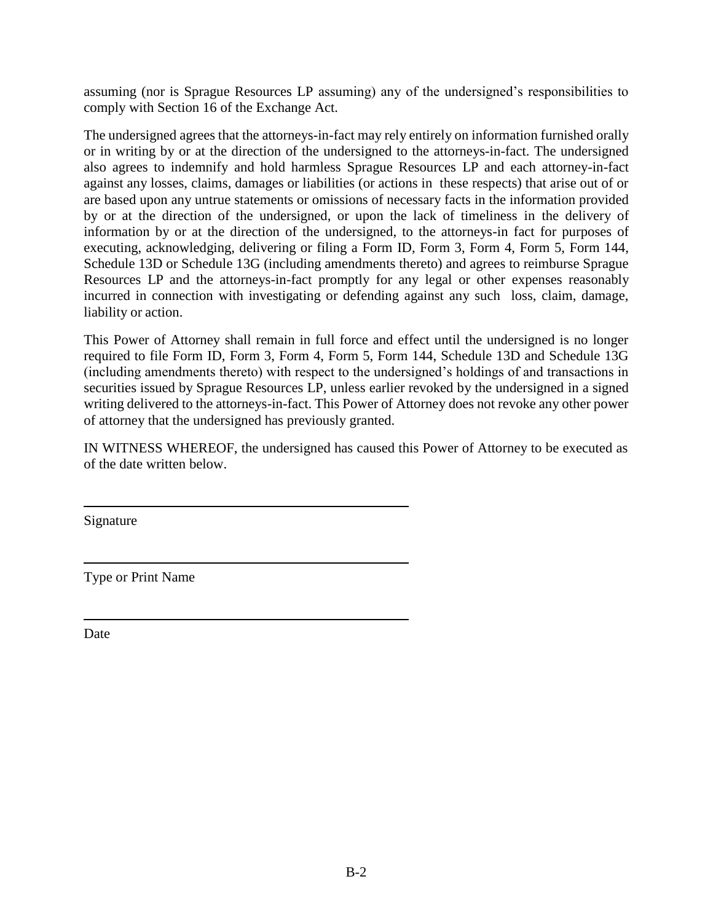assuming (nor is Sprague Resources LP assuming) any of the undersigned's responsibilities to comply with Section 16 of the Exchange Act.

The undersigned agrees that the attorneys-in-fact may rely entirely on information furnished orally or in writing by or at the direction of the undersigned to the attorneys-in-fact. The undersigned also agrees to indemnify and hold harmless Sprague Resources LP and each attorney-in-fact against any losses, claims, damages or liabilities (or actions in these respects) that arise out of or are based upon any untrue statements or omissions of necessary facts in the information provided by or at the direction of the undersigned, or upon the lack of timeliness in the delivery of information by or at the direction of the undersigned, to the attorneys-in fact for purposes of executing, acknowledging, delivering or filing a Form ID, Form 3, Form 4, Form 5, Form 144, Schedule 13D or Schedule 13G (including amendments thereto) and agrees to reimburse Sprague Resources LP and the attorneys-in-fact promptly for any legal or other expenses reasonably incurred in connection with investigating or defending against any such loss, claim, damage, liability or action.

This Power of Attorney shall remain in full force and effect until the undersigned is no longer required to file Form ID, Form 3, Form 4, Form 5, Form 144, Schedule 13D and Schedule 13G (including amendments thereto) with respect to the undersigned's holdings of and transactions in securities issued by Sprague Resources LP, unless earlier revoked by the undersigned in a signed writing delivered to the attorneys-in-fact. This Power of Attorney does not revoke any other power of attorney that the undersigned has previously granted.

IN WITNESS WHEREOF, the undersigned has caused this Power of Attorney to be executed as of the date written below.

Signature

Type or Print Name

Date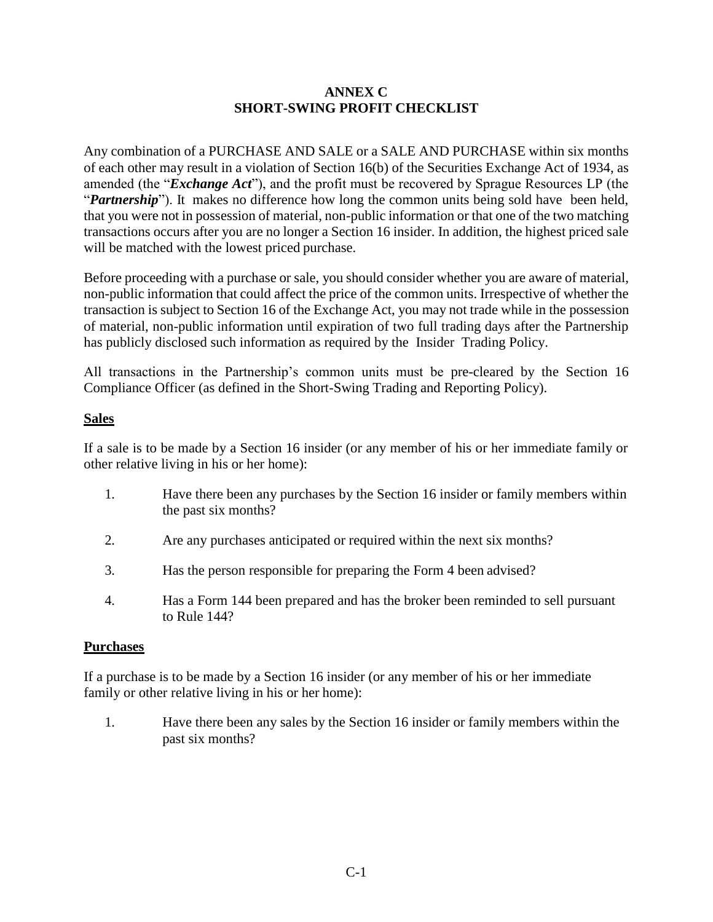## **ANNEX C SHORT-SWING PROFIT CHECKLIST**

Any combination of a PURCHASE AND SALE or a SALE AND PURCHASE within six months of each other may result in a violation of Section 16(b) of the Securities Exchange Act of 1934, as amended (the "*Exchange Act*"), and the profit must be recovered by Sprague Resources LP (the "*Partnership*"). It makes no difference how long the common units being sold have been held, that you were not in possession of material, non-public information or that one of the two matching transactions occurs after you are no longer a Section 16 insider. In addition, the highest priced sale will be matched with the lowest priced purchase.

Before proceeding with a purchase or sale, you should consider whether you are aware of material, non-public information that could affect the price of the common units. Irrespective of whether the transaction is subject to Section 16 of the Exchange Act, you may not trade while in the possession of material, non-public information until expiration of two full trading days after the Partnership has publicly disclosed such information as required by the Insider Trading Policy.

All transactions in the Partnership's common units must be pre-cleared by the Section 16 Compliance Officer (as defined in the Short-Swing Trading and Reporting Policy).

# **Sales**

If a sale is to be made by a Section 16 insider (or any member of his or her immediate family or other relative living in his or her home):

- 1. Have there been any purchases by the Section 16 insider or family members within the past six months?
- 2. Are any purchases anticipated or required within the next six months?
- 3. Has the person responsible for preparing the Form 4 been advised?
- 4. Has a Form 144 been prepared and has the broker been reminded to sell pursuant to Rule 144?

# **Purchases**

If a purchase is to be made by a Section 16 insider (or any member of his or her immediate family or other relative living in his or her home):

1. Have there been any sales by the Section 16 insider or family members within the past six months?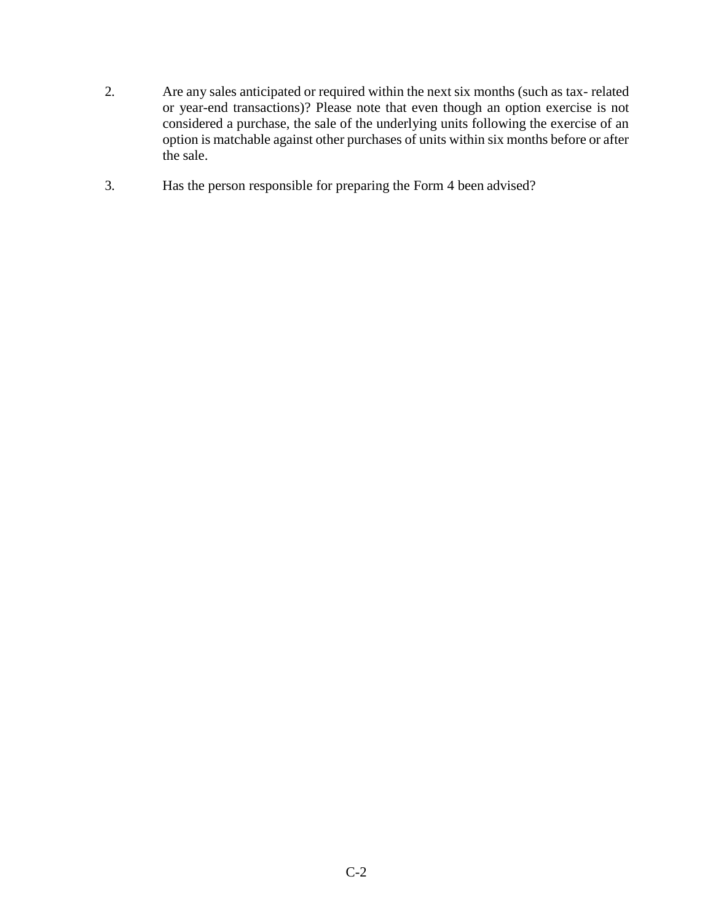- 2. Are any sales anticipated or required within the next six months (such as tax- related or year-end transactions)? Please note that even though an option exercise is not considered a purchase, the sale of the underlying units following the exercise of an option is matchable against other purchases of units within six months before or after the sale.
- 3. Has the person responsible for preparing the Form 4 been advised?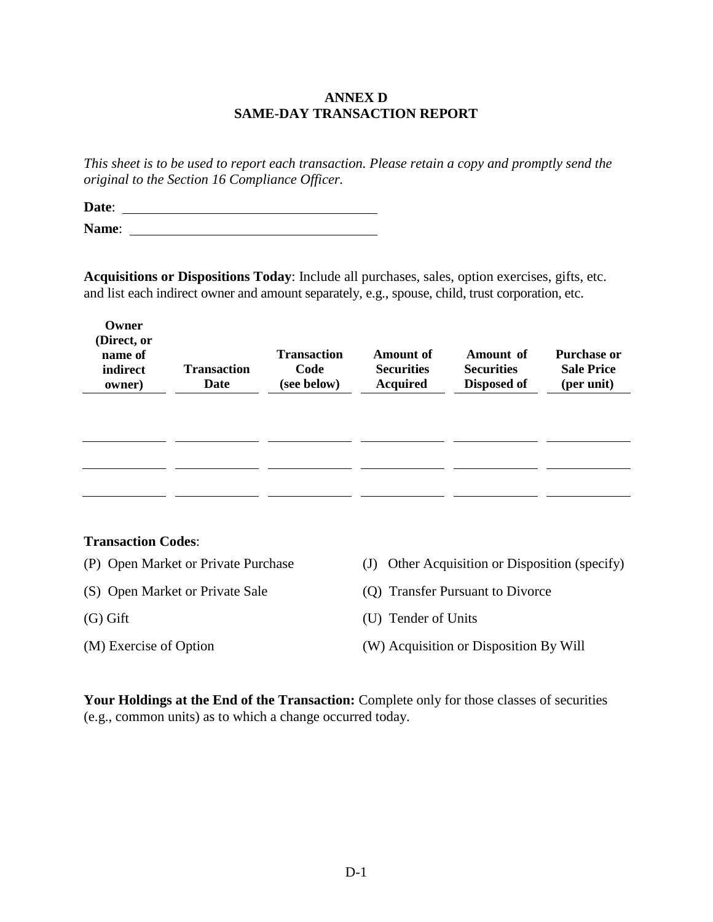## **ANNEX D SAME-DAY TRANSACTION REPORT**

*This sheet is to be used to report each transaction. Please retain a copy and promptly send the original to the Section 16 Compliance Officer.*

**Date**: **Name**:

**Acquisitions or Dispositions Today**: Include all purchases, sales, option exercises, gifts, etc. and list each indirect owner and amount separately, e.g., spouse, child, trust corporation, etc.

| Owner<br>(Direct, or<br>name of<br>indirect<br>owner) | <b>Transaction</b><br>Date | <b>Transaction</b><br>Code<br>(see below) | Amount of<br><b>Securities</b><br><b>Acquired</b> | Amount of<br><b>Securities</b><br>Disposed of | <b>Purchase or</b><br><b>Sale Price</b><br>(per unit) |
|-------------------------------------------------------|----------------------------|-------------------------------------------|---------------------------------------------------|-----------------------------------------------|-------------------------------------------------------|
|                                                       |                            |                                           |                                                   |                                               |                                                       |
|                                                       |                            |                                           |                                                   |                                               |                                                       |

#### **Transaction Codes**:

- (P) Open Market or Private Purchase (J) Other Acquisition or Disposition (specify)
- (S) Open Market or Private Sale (Q) Transfer Pursuant to Divorce
- (G) Gift (U) Tender of Units
- 
- 

- 
- (M) Exercise of Option (W) Acquisition or Disposition By Will

Your Holdings at the End of the Transaction: Complete only for those classes of securities (e.g., common units) as to which a change occurred today.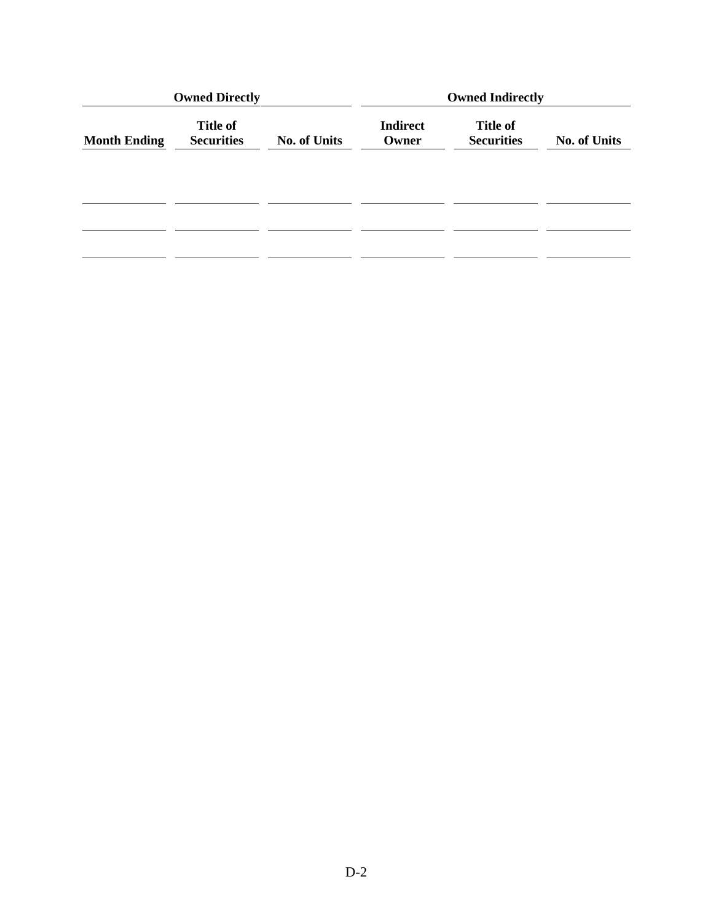|                     | <b>Owned Directly</b>                |                     | <b>Owned Indirectly</b>  |                                      |                     |
|---------------------|--------------------------------------|---------------------|--------------------------|--------------------------------------|---------------------|
| <b>Month Ending</b> | <b>Title of</b><br><b>Securities</b> | <b>No. of Units</b> | <b>Indirect</b><br>Owner | <b>Title of</b><br><b>Securities</b> | <b>No. of Units</b> |
|                     |                                      |                     |                          |                                      |                     |
|                     |                                      |                     |                          |                                      |                     |
|                     |                                      |                     |                          |                                      |                     |
|                     |                                      |                     |                          |                                      |                     |
|                     |                                      |                     |                          |                                      |                     |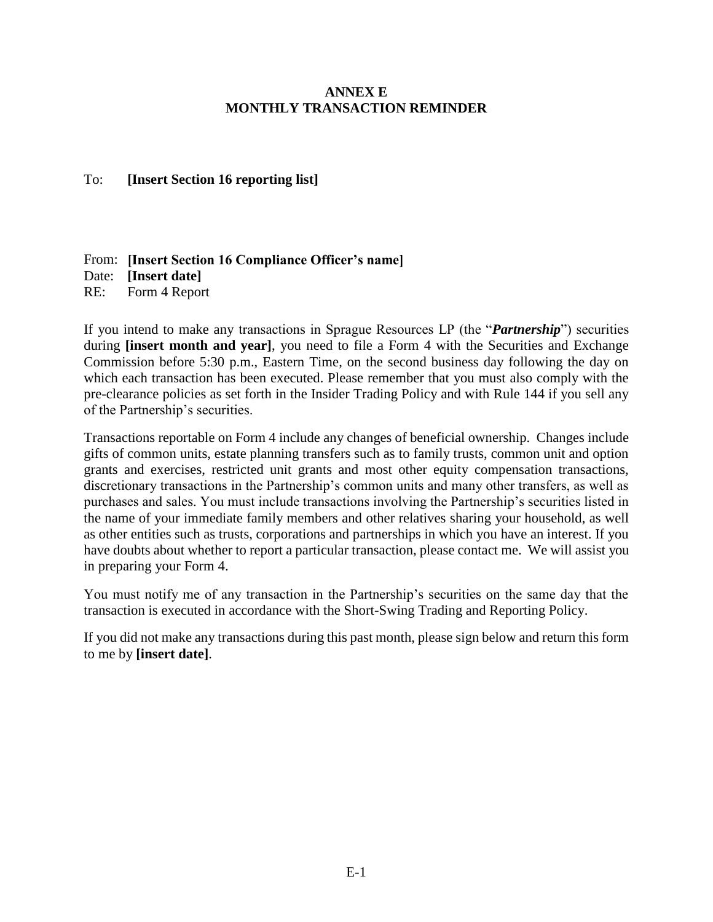## **ANNEX E MONTHLY TRANSACTION REMINDER**

## To: **[Insert Section 16 reporting list]**

From: **[Insert Section 16 Compliance Officer's name]** Date: **[Insert date]** RE: Form 4 Report

If you intend to make any transactions in Sprague Resources LP (the "*Partnership*") securities during **[insert month and year]**, you need to file a Form 4 with the Securities and Exchange Commission before 5:30 p.m., Eastern Time, on the second business day following the day on which each transaction has been executed. Please remember that you must also comply with the pre-clearance policies as set forth in the Insider Trading Policy and with Rule 144 if you sell any of the Partnership's securities.

Transactions reportable on Form 4 include any changes of beneficial ownership. Changes include gifts of common units, estate planning transfers such as to family trusts, common unit and option grants and exercises, restricted unit grants and most other equity compensation transactions, discretionary transactions in the Partnership's common units and many other transfers, as well as purchases and sales. You must include transactions involving the Partnership's securities listed in the name of your immediate family members and other relatives sharing your household, as well as other entities such as trusts, corporations and partnerships in which you have an interest. If you have doubts about whether to report a particular transaction, please contact me. We will assist you in preparing your Form 4.

You must notify me of any transaction in the Partnership's securities on the same day that the transaction is executed in accordance with the Short-Swing Trading and Reporting Policy.

If you did not make any transactions during this past month, please sign below and return this form to me by **[insert date]**.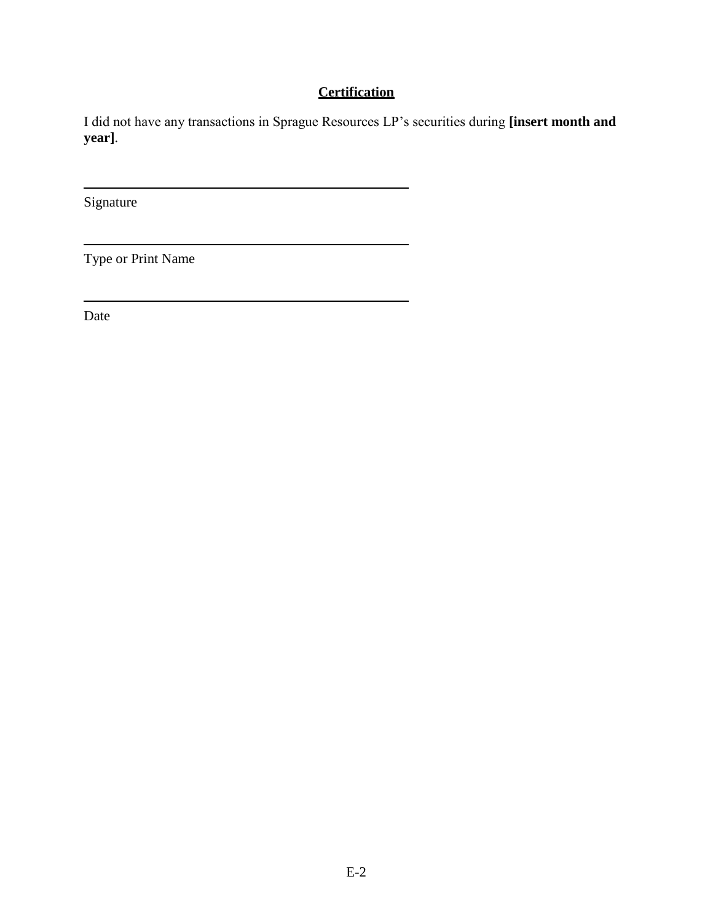# **Certification**

I did not have any transactions in Sprague Resources LP's securities during **[insert month and year]**.

Signature

Type or Print Name

Date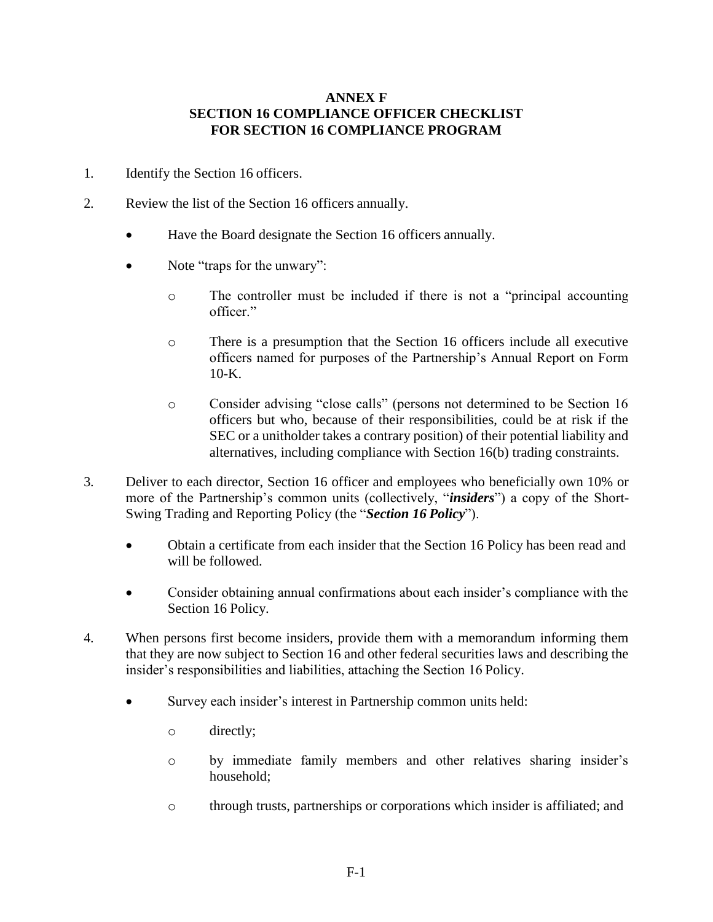#### **ANNEX F SECTION 16 COMPLIANCE OFFICER CHECKLIST FOR SECTION 16 COMPLIANCE PROGRAM**

- 1. Identify the Section 16 officers.
- 2. Review the list of the Section 16 officers annually.
	- Have the Board designate the Section 16 officers annually.
	- Note "traps for the unwary":
		- o The controller must be included if there is not a "principal accounting officer."
		- o There is a presumption that the Section 16 officers include all executive officers named for purposes of the Partnership's Annual Report on Form  $10-K$ .
		- o Consider advising "close calls" (persons not determined to be Section 16 officers but who, because of their responsibilities, could be at risk if the SEC or a unitholder takes a contrary position) of their potential liability and alternatives, including compliance with Section 16(b) trading constraints.
- 3. Deliver to each director, Section 16 officer and employees who beneficially own 10% or more of the Partnership's common units (collectively, "*insiders*") a copy of the Short-Swing Trading and Reporting Policy (the "*Section 16 Policy*").
	- Obtain a certificate from each insider that the Section 16 Policy has been read and will be followed.
	- Consider obtaining annual confirmations about each insider's compliance with the Section 16 Policy.
- 4. When persons first become insiders, provide them with a memorandum informing them that they are now subject to Section 16 and other federal securities laws and describing the insider's responsibilities and liabilities, attaching the Section 16 Policy.
	- Survey each insider's interest in Partnership common units held:
		- o directly;
		- o by immediate family members and other relatives sharing insider's household;
		- o through trusts, partnerships or corporations which insider is affiliated; and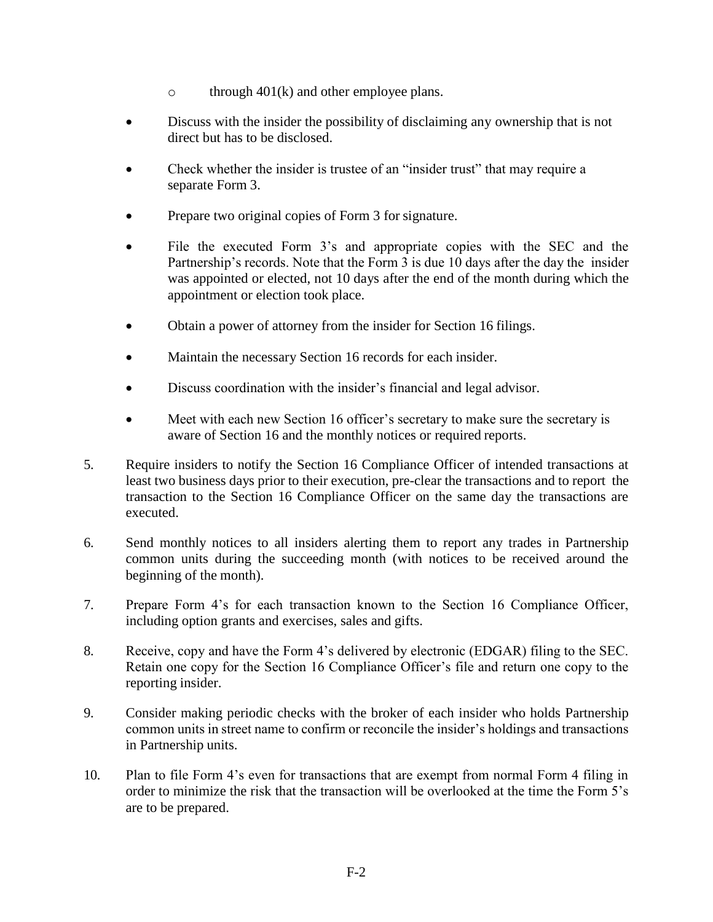- o through  $401(k)$  and other employee plans.
- Discuss with the insider the possibility of disclaiming any ownership that is not direct but has to be disclosed.
- Check whether the insider is trustee of an "insider trust" that may require a separate Form 3.
- Prepare two original copies of Form 3 for signature.
- File the executed Form 3's and appropriate copies with the SEC and the Partnership's records. Note that the Form 3 is due 10 days after the day the insider was appointed or elected, not 10 days after the end of the month during which the appointment or election took place.
- Obtain a power of attorney from the insider for Section 16 filings.
- Maintain the necessary Section 16 records for each insider.
- Discuss coordination with the insider's financial and legal advisor.
- Meet with each new Section 16 officer's secretary to make sure the secretary is aware of Section 16 and the monthly notices or required reports.
- 5. Require insiders to notify the Section 16 Compliance Officer of intended transactions at least two business days prior to their execution, pre-clear the transactions and to report the transaction to the Section 16 Compliance Officer on the same day the transactions are executed.
- 6. Send monthly notices to all insiders alerting them to report any trades in Partnership common units during the succeeding month (with notices to be received around the beginning of the month).
- 7. Prepare Form 4's for each transaction known to the Section 16 Compliance Officer, including option grants and exercises, sales and gifts.
- 8. Receive, copy and have the Form 4's delivered by electronic (EDGAR) filing to the SEC. Retain one copy for the Section 16 Compliance Officer's file and return one copy to the reporting insider.
- 9. Consider making periodic checks with the broker of each insider who holds Partnership common units in street name to confirm or reconcile the insider's holdings and transactions in Partnership units.
- 10. Plan to file Form 4's even for transactions that are exempt from normal Form 4 filing in order to minimize the risk that the transaction will be overlooked at the time the Form 5's are to be prepared.